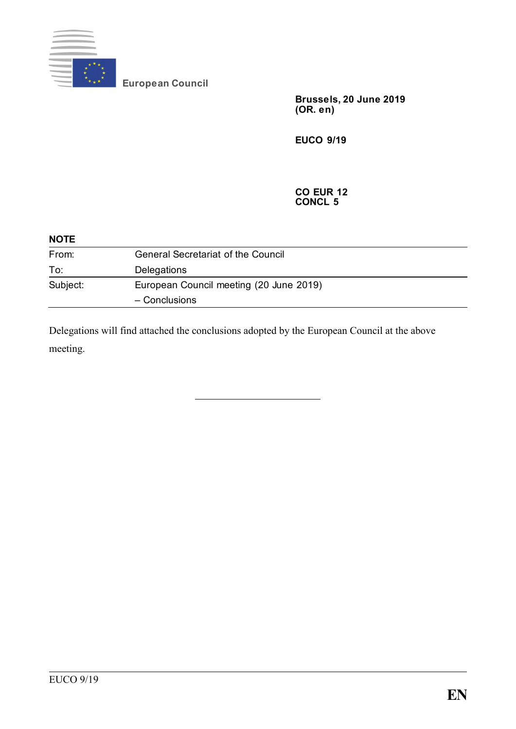

**European Council**

**Brussels, 20 June 2019 (OR. e n)**

**EUCO 9/19**

**CO EUR 12 CONCL 5**

| <b>NOTE</b> |                                           |
|-------------|-------------------------------------------|
| From:       | <b>General Secretariat of the Council</b> |
| To:         | Delegations                               |
| Subject:    | European Council meeting (20 June 2019)   |
|             | - Conclusions                             |

Delegations will find attached the conclusions adopted by the European Council at the above meeting.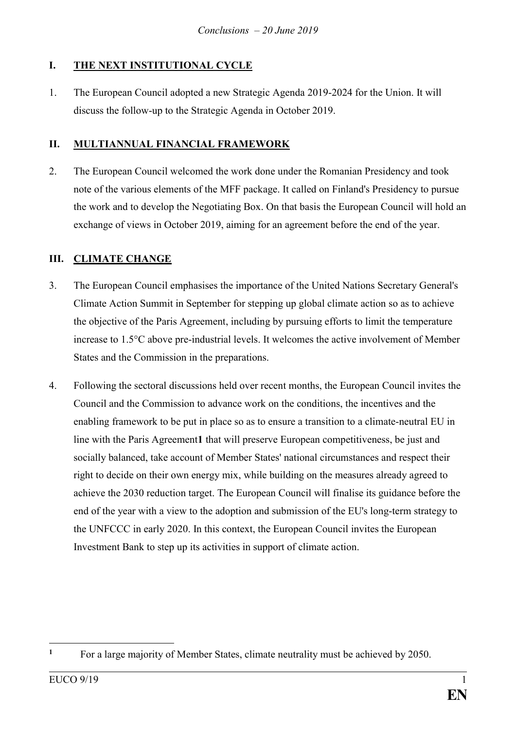# **I. THE NEXT INSTITUTIONAL CYCLE**

1. The European Council adopted a new Strategic Agenda 2019-2024 for the Union. It will discuss the follow-up to the Strategic Agenda in October 2019.

### **II. MULTIANNUAL FINANCIAL FRAMEWORK**

2. The European Council welcomed the work done under the Romanian Presidency and took note of the various elements of the MFF package. It called on Finland's Presidency to pursue the work and to develop the Negotiating Box. On that basis the European Council will hold an exchange of views in October 2019, aiming for an agreement before the end of the year.

### **III. CLIMATE CHANGE**

- 3. The European Council emphasises the importance of the United Nations Secretary General's Climate Action Summit in September for stepping up global climate action so as to achieve the objective of the Paris Agreement, including by pursuing efforts to limit the temperature increase to 1.5°C above pre-industrial levels. It welcomes the active involvement of Member States and the Commission in the preparations.
- 4. Following the sectoral discussions held over recent months, the European Council invites the Council and the Commission to advance work on the conditions, the incentives and the enabling framework to be put in place so as to ensure a transition to a climate-neutral EU in line with the Paris Agreement**1** that will preserve European competitiveness, be just and socially balanced, take account of Member States' national circumstances and respect their right to decide on their own energy mix, while building on the measures already agreed to achieve the 2030 reduction target. The European Council will finalise its guidance before the end of the year with a view to the adoption and submission of the EU's long-term strategy to the UNFCCC in early 2020. In this context, the European Council invites the European Investment Bank to step up its activities in support of climate action.

<sup>1</sup> <sup>1</sup> For a large majority of Member States, climate neutrality must be achieved by 2050.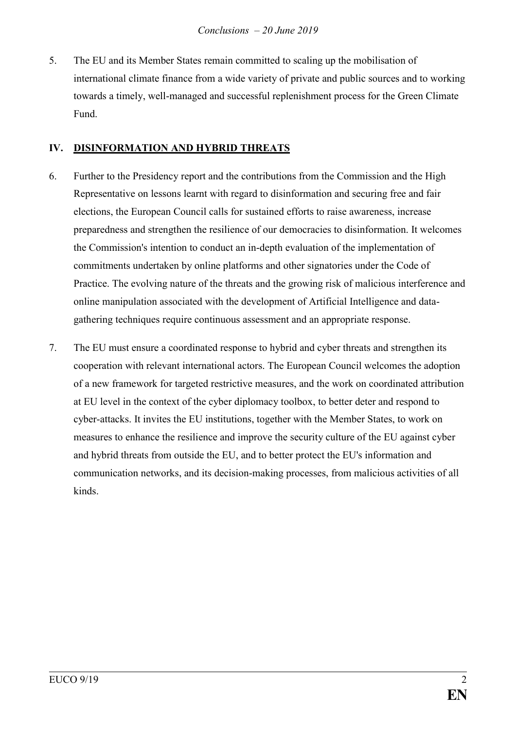5. The EU and its Member States remain committed to scaling up the mobilisation of international climate finance from a wide variety of private and public sources and to working towards a timely, well-managed and successful replenishment process for the Green Climate Fund.

### **IV. DISINFORMATION AND HYBRID THREATS**

- 6. Further to the Presidency report and the contributions from the Commission and the High Representative on lessons learnt with regard to disinformation and securing free and fair elections, the European Council calls for sustained efforts to raise awareness, increase preparedness and strengthen the resilience of our democracies to disinformation. It welcomes the Commission's intention to conduct an in-depth evaluation of the implementation of commitments undertaken by online platforms and other signatories under the Code of Practice. The evolving nature of the threats and the growing risk of malicious interference and online manipulation associated with the development of Artificial Intelligence and datagathering techniques require continuous assessment and an appropriate response.
- 7. The EU must ensure a coordinated response to hybrid and cyber threats and strengthen its cooperation with relevant international actors. The European Council welcomes the adoption of a new framework for targeted restrictive measures, and the work on coordinated attribution at EU level in the context of the cyber diplomacy toolbox, to better deter and respond to cyber-attacks. It invites the EU institutions, together with the Member States, to work on measures to enhance the resilience and improve the security culture of the EU against cyber and hybrid threats from outside the EU, and to better protect the EU's information and communication networks, and its decision-making processes, from malicious activities of all kinds.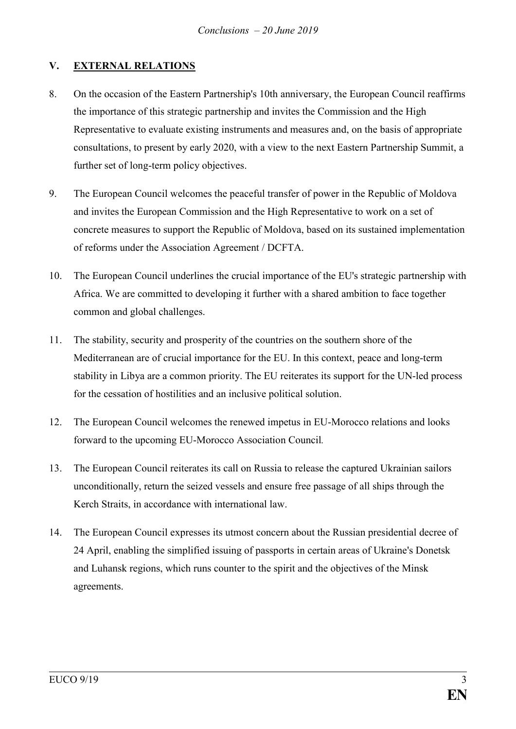# **V. EXTERNAL RELATIONS**

- 8. On the occasion of the Eastern Partnership's 10th anniversary, the European Council reaffirms the importance of this strategic partnership and invites the Commission and the High Representative to evaluate existing instruments and measures and, on the basis of appropriate consultations, to present by early 2020, with a view to the next Eastern Partnership Summit, a further set of long-term policy objectives.
- 9. The European Council welcomes the peaceful transfer of power in the Republic of Moldova and invites the European Commission and the High Representative to work on a set of concrete measures to support the Republic of Moldova, based on its sustained implementation of reforms under the Association Agreement / DCFTA.
- 10. The European Council underlines the crucial importance of the EU's strategic partnership with Africa. We are committed to developing it further with a shared ambition to face together common and global challenges.
- 11. The stability, security and prosperity of the countries on the southern shore of the Mediterranean are of crucial importance for the EU. In this context, peace and long-term stability in Libya are a common priority. The EU reiterates its support for the UN-led process for the cessation of hostilities and an inclusive political solution.
- 12. The European Council welcomes the renewed impetus in EU-Morocco relations and looks forward to the upcoming EU-Morocco Association Council*.*
- 13. The European Council reiterates its call on Russia to release the captured Ukrainian sailors unconditionally, return the seized vessels and ensure free passage of all ships through the Kerch Straits, in accordance with international law.
- 14. The European Council expresses its utmost concern about the Russian presidential decree of 24 April, enabling the simplified issuing of passports in certain areas of Ukraine's Donetsk and Luhansk regions, which runs counter to the spirit and the objectives of the Minsk agreements.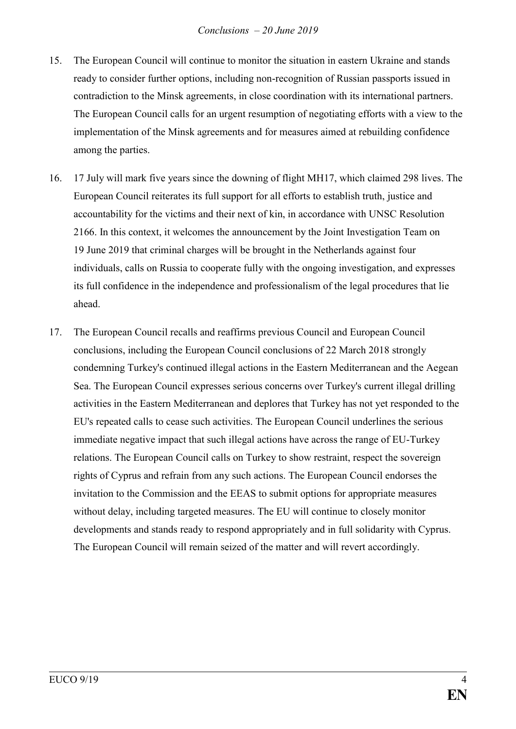- 15. The European Council will continue to monitor the situation in eastern Ukraine and stands ready to consider further options, including non-recognition of Russian passports issued in contradiction to the Minsk agreements, in close coordination with its international partners. The European Council calls for an urgent resumption of negotiating efforts with a view to the implementation of the Minsk agreements and for measures aimed at rebuilding confidence among the parties.
- 16. 17 July will mark five years since the downing of flight MH17, which claimed 298 lives. The European Council reiterates its full support for all efforts to establish truth, justice and accountability for the victims and their next of kin, in accordance with UNSC Resolution 2166. In this context, it welcomes the announcement by the Joint Investigation Team on 19 June 2019 that criminal charges will be brought in the Netherlands against four individuals, calls on Russia to cooperate fully with the ongoing investigation, and expresses its full confidence in the independence and professionalism of the legal procedures that lie ahead.
- 17. The European Council recalls and reaffirms previous Council and European Council conclusions, including the European Council conclusions of 22 March 2018 strongly condemning Turkey's continued illegal actions in the Eastern Mediterranean and the Aegean Sea. The European Council expresses serious concerns over Turkey's current illegal drilling activities in the Eastern Mediterranean and deplores that Turkey has not yet responded to the EU's repeated calls to cease such activities. The European Council underlines the serious immediate negative impact that such illegal actions have across the range of EU-Turkey relations. The European Council calls on Turkey to show restraint, respect the sovereign rights of Cyprus and refrain from any such actions. The European Council endorses the invitation to the Commission and the EEAS to submit options for appropriate measures without delay, including targeted measures. The EU will continue to closely monitor developments and stands ready to respond appropriately and in full solidarity with Cyprus. The European Council will remain seized of the matter and will revert accordingly.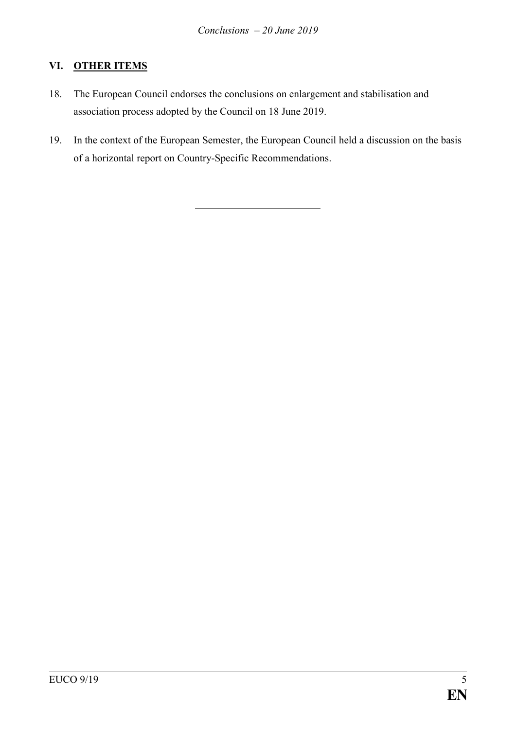# **VI. OTHER ITEMS**

- 18. The European Council endorses the conclusions on enlargement and stabilisation and association process adopted by the Council on 18 June 2019.
- 19. In the context of the European Semester, the European Council held a discussion on the basis of a horizontal report on Country-Specific Recommendations.

EUCO  $9/19$  5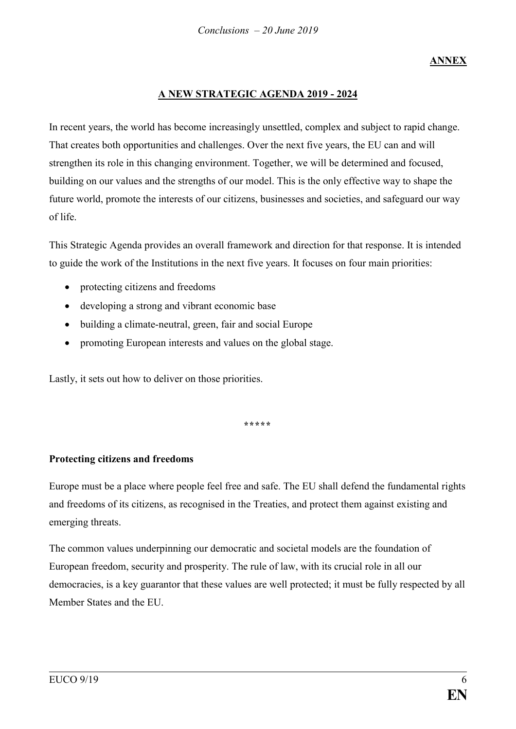# **ANNEX**

### **A NEW STRATEGIC AGENDA 2019 - 2024**

In recent years, the world has become increasingly unsettled, complex and subject to rapid change. That creates both opportunities and challenges. Over the next five years, the EU can and will strengthen its role in this changing environment. Together, we will be determined and focused, building on our values and the strengths of our model. This is the only effective way to shape the future world, promote the interests of our citizens, businesses and societies, and safeguard our way of life.

This Strategic Agenda provides an overall framework and direction for that response. It is intended to guide the work of the Institutions in the next five years. It focuses on four main priorities:

- protecting citizens and freedoms
- developing a strong and vibrant economic base
- building a climate-neutral, green, fair and social Europe
- promoting European interests and values on the global stage.

Lastly, it sets out how to deliver on those priorities.

**\*\*\*\*\***

#### **Protecting citizens and freedoms**

Europe must be a place where people feel free and safe. The EU shall defend the fundamental rights and freedoms of its citizens, as recognised in the Treaties, and protect them against existing and emerging threats.

The common values underpinning our democratic and societal models are the foundation of European freedom, security and prosperity. The rule of law, with its crucial role in all our democracies, is a key guarantor that these values are well protected; it must be fully respected by all Member States and the EU.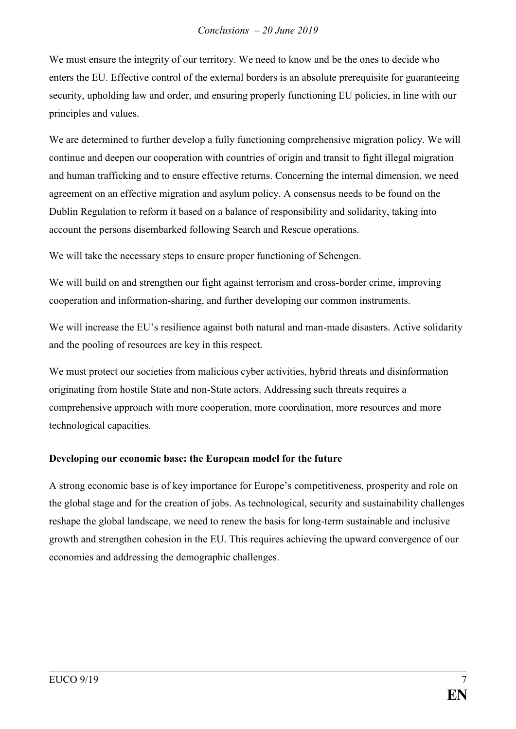We must ensure the integrity of our territory. We need to know and be the ones to decide who enters the EU. Effective control of the external borders is an absolute prerequisite for guaranteeing security, upholding law and order, and ensuring properly functioning EU policies, in line with our principles and values.

We are determined to further develop a fully functioning comprehensive migration policy. We will continue and deepen our cooperation with countries of origin and transit to fight illegal migration and human trafficking and to ensure effective returns. Concerning the internal dimension, we need agreement on an effective migration and asylum policy. A consensus needs to be found on the Dublin Regulation to reform it based on a balance of responsibility and solidarity, taking into account the persons disembarked following Search and Rescue operations.

We will take the necessary steps to ensure proper functioning of Schengen.

We will build on and strengthen our fight against terrorism and cross-border crime, improving cooperation and information-sharing, and further developing our common instruments.

We will increase the EU's resilience against both natural and man-made disasters. Active solidarity and the pooling of resources are key in this respect.

We must protect our societies from malicious cyber activities, hybrid threats and disinformation originating from hostile State and non-State actors. Addressing such threats requires a comprehensive approach with more cooperation, more coordination, more resources and more technological capacities.

## **Developing our economic base: the European model for the future**

A strong economic base is of key importance for Europe's competitiveness, prosperity and role on the global stage and for the creation of jobs. As technological, security and sustainability challenges reshape the global landscape, we need to renew the basis for long-term sustainable and inclusive growth and strengthen cohesion in the EU. This requires achieving the upward convergence of our economies and addressing the demographic challenges.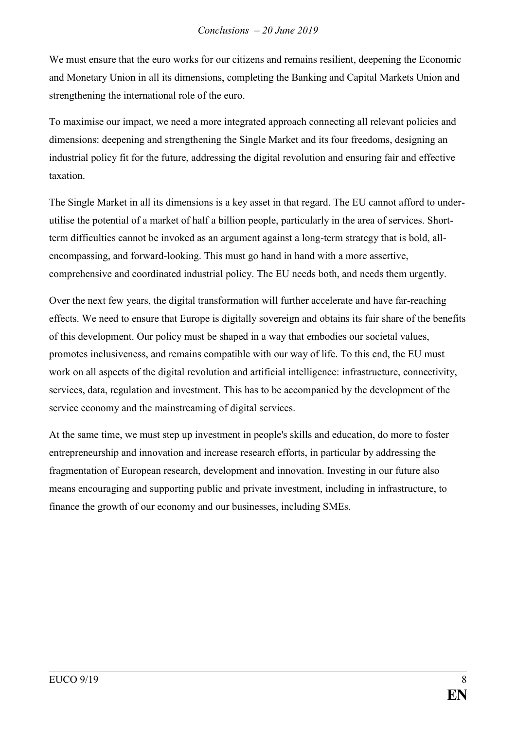We must ensure that the euro works for our citizens and remains resilient, deepening the Economic and Monetary Union in all its dimensions, completing the Banking and Capital Markets Union and strengthening the international role of the euro.

To maximise our impact, we need a more integrated approach connecting all relevant policies and dimensions: deepening and strengthening the Single Market and its four freedoms, designing an industrial policy fit for the future, addressing the digital revolution and ensuring fair and effective taxation.

The Single Market in all its dimensions is a key asset in that regard. The EU cannot afford to underutilise the potential of a market of half a billion people, particularly in the area of services. Shortterm difficulties cannot be invoked as an argument against a long-term strategy that is bold, allencompassing, and forward-looking. This must go hand in hand with a more assertive, comprehensive and coordinated industrial policy. The EU needs both, and needs them urgently.

Over the next few years, the digital transformation will further accelerate and have far-reaching effects. We need to ensure that Europe is digitally sovereign and obtains its fair share of the benefits of this development. Our policy must be shaped in a way that embodies our societal values, promotes inclusiveness, and remains compatible with our way of life. To this end, the EU must work on all aspects of the digital revolution and artificial intelligence: infrastructure, connectivity, services, data, regulation and investment. This has to be accompanied by the development of the service economy and the mainstreaming of digital services.

At the same time, we must step up investment in people's skills and education, do more to foster entrepreneurship and innovation and increase research efforts, in particular by addressing the fragmentation of European research, development and innovation. Investing in our future also means encouraging and supporting public and private investment, including in infrastructure, to finance the growth of our economy and our businesses, including SMEs.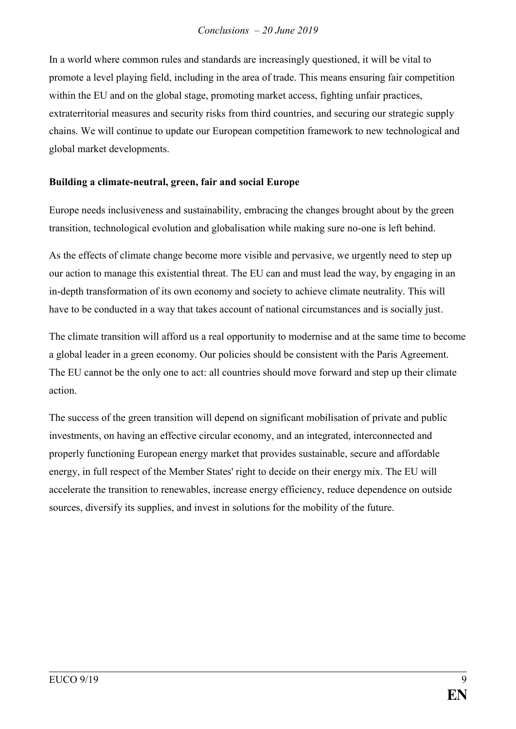In a world where common rules and standards are increasingly questioned, it will be vital to promote a level playing field, including in the area of trade. This means ensuring fair competition within the EU and on the global stage, promoting market access, fighting unfair practices, extraterritorial measures and security risks from third countries, and securing our strategic supply chains. We will continue to update our European competition framework to new technological and global market developments.

### **Building a climate-neutral, green, fair and social Europe**

Europe needs inclusiveness and sustainability, embracing the changes brought about by the green transition, technological evolution and globalisation while making sure no-one is left behind.

As the effects of climate change become more visible and pervasive, we urgently need to step up our action to manage this existential threat. The EU can and must lead the way, by engaging in an in-depth transformation of its own economy and society to achieve climate neutrality. This will have to be conducted in a way that takes account of national circumstances and is socially just.

The climate transition will afford us a real opportunity to modernise and at the same time to become a global leader in a green economy. Our policies should be consistent with the Paris Agreement. The EU cannot be the only one to act: all countries should move forward and step up their climate action.

The success of the green transition will depend on significant mobilisation of private and public investments, on having an effective circular economy, and an integrated, interconnected and properly functioning European energy market that provides sustainable, secure and affordable energy, in full respect of the Member States' right to decide on their energy mix. The EU will accelerate the transition to renewables, increase energy efficiency, reduce dependence on outside sources, diversify its supplies, and invest in solutions for the mobility of the future.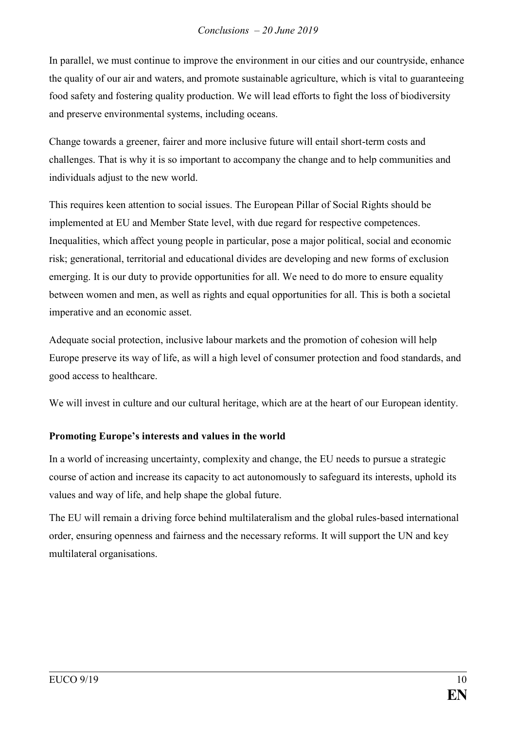In parallel, we must continue to improve the environment in our cities and our countryside, enhance the quality of our air and waters, and promote sustainable agriculture, which is vital to guaranteeing food safety and fostering quality production. We will lead efforts to fight the loss of biodiversity and preserve environmental systems, including oceans.

Change towards a greener, fairer and more inclusive future will entail short-term costs and challenges. That is why it is so important to accompany the change and to help communities and individuals adjust to the new world.

This requires keen attention to social issues. The European Pillar of Social Rights should be implemented at EU and Member State level, with due regard for respective competences. Inequalities, which affect young people in particular, pose a major political, social and economic risk; generational, territorial and educational divides are developing and new forms of exclusion emerging. It is our duty to provide opportunities for all. We need to do more to ensure equality between women and men, as well as rights and equal opportunities for all. This is both a societal imperative and an economic asset.

Adequate social protection, inclusive labour markets and the promotion of cohesion will help Europe preserve its way of life, as will a high level of consumer protection and food standards, and good access to healthcare.

We will invest in culture and our cultural heritage, which are at the heart of our European identity.

## **Promoting Europe's interests and values in the world**

In a world of increasing uncertainty, complexity and change, the EU needs to pursue a strategic course of action and increase its capacity to act autonomously to safeguard its interests, uphold its values and way of life, and help shape the global future.

The EU will remain a driving force behind multilateralism and the global rules-based international order, ensuring openness and fairness and the necessary reforms. It will support the UN and key multilateral organisations.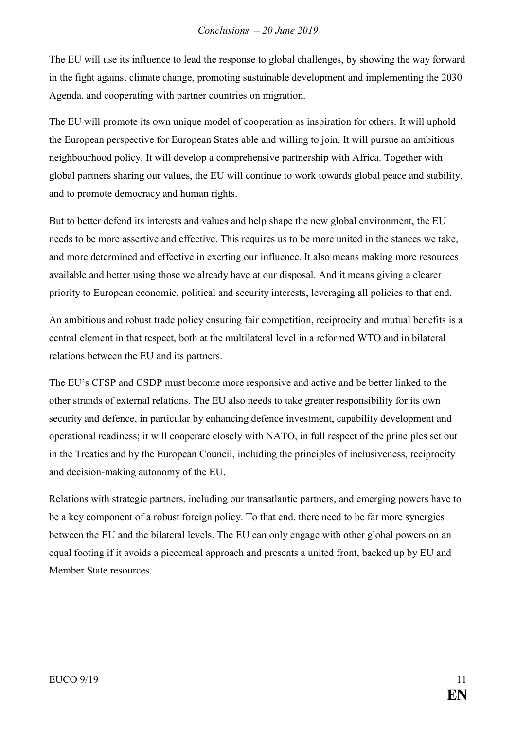The EU will use its influence to lead the response to global challenges, by showing the way forward in the fight against climate change, promoting sustainable development and implementing the 2030 Agenda, and cooperating with partner countries on migration.

The EU will promote its own unique model of cooperation as inspiration for others. It will uphold the European perspective for European States able and willing to join. It will pursue an ambitious neighbourhood policy. It will develop a comprehensive partnership with Africa. Together with global partners sharing our values, the EU will continue to work towards global peace and stability, and to promote democracy and human rights.

But to better defend its interests and values and help shape the new global environment, the EU needs to be more assertive and effective. This requires us to be more united in the stances we take, and more determined and effective in exerting our influence. It also means making more resources available and better using those we already have at our disposal. And it means giving a clearer priority to European economic, political and security interests, leveraging all policies to that end.

An ambitious and robust trade policy ensuring fair competition, reciprocity and mutual benefits is a central element in that respect, both at the multilateral level in a reformed WTO and in bilateral relations between the EU and its partners.

The EU's CFSP and CSDP must become more responsive and active and be better linked to the other strands of external relations. The EU also needs to take greater responsibility for its own security and defence, in particular by enhancing defence investment, capability development and operational readiness; it will cooperate closely with NATO, in full respect of the principles set out in the Treaties and by the European Council, including the principles of inclusiveness, reciprocity and decision-making autonomy of the EU.

Relations with strategic partners, including our transatlantic partners, and emerging powers have to be a key component of a robust foreign policy. To that end, there need to be far more synergies between the EU and the bilateral levels. The EU can only engage with other global powers on an equal footing if it avoids a piecemeal approach and presents a united front, backed up by EU and Member State resources.